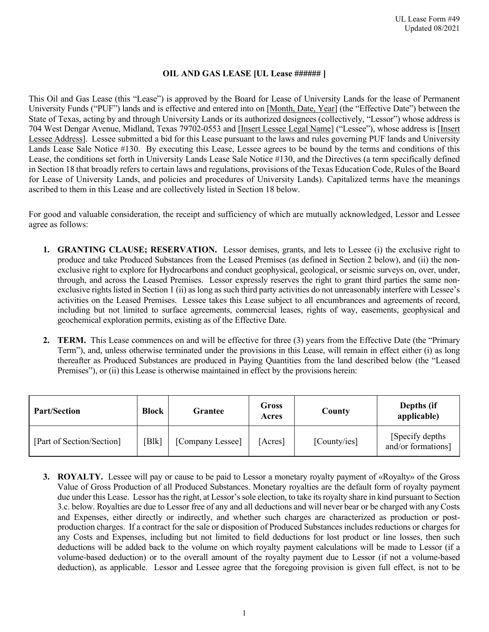### **OIL AND GAS LEASE [UL Lease ###### ]**

This Oil and Gas Lease (this "Lease") is approved by the Board for Lease of University Lands for the lease of Permanent University Funds ("PUF") lands and is effective and entered into on [Month, Date, Year] (the "Effective Date") between the State of Texas, acting by and through University Lands or its authorized designees (collectively, "Lessor") whose address is 704 West Dengar Avenue, Midland, Texas 79702-0553 and [Insert Lessee Legal Name] ("Lessee"), whose address is [Insert Lessee Address]. Lessee submitted a bid for this Lease pursuant to the laws and rules governing PUF lands and University Lands Lease Sale Notice #130. By executing this Lease, Lessee agrees to be bound by the terms and conditions of this Lease, the conditions set forth in University Lands Lease Sale Notice #130, and the Directives (a term specifically defined in Section 18 that broadly refers to certain laws and regulations, provisions of the Texas Education Code, Rules of the Board for Lease of University Lands, and policies and procedures of University Lands). Capitalized terms have the meanings ascribed to them in this Lease and are collectively listed in Section 18 below.

For good and valuable consideration, the receipt and sufficiency of which are mutually acknowledged, Lessor and Lessee agree as follows:

- **1. GRANTING CLAUSE; RESERVATION.** Lessor demises, grants, and lets to Lessee (i) the exclusive right to produce and take Produced Substances from the Leased Premises (as defined in Section 2 below), and (ii) the nonexclusive right to explore for Hydrocarbons and conduct geophysical, geological, or seismic surveys on, over, under, through, and across the Leased Premises. Lessor expressly reserves the right to grant third parties the same nonexclusive rights listed in Section 1 (ii) as long as such third party activities do not unreasonably interfere with Lessee's activities on the Leased Premises. Lessee takes this Lease subject to all encumbrances and agreements of record, including but not limited to surface agreements, commercial leases, rights of way, easements, geophysical and geochemical exploration permits, existing as of the Effective Date.
- **2. TERM.** This Lease commences on and will be effective for three (3) years from the Effective Date (the "Primary Term"), and, unless otherwise terminated under the provisions in this Lease, will remain in effect either (i) as long thereafter as Produced Substances are produced in Paying Quantities from the land described below (the "Leased Premises"), or (ii) this Lease is otherwise maintained in effect by the provisions herein:

| <b>Part/Section</b>       | <b>Block</b> | Grantee          | Gross<br>Acres | County       | Depths (if<br>applicable)              |
|---------------------------|--------------|------------------|----------------|--------------|----------------------------------------|
| [Part of Section/Section] | [Blk]        | [Company Lessee] | [Acres]        | [County/ies] | [Specify depths]<br>and/or formations] |

**3. ROYALTY.** Lessee will pay or cause to be paid to Lessor a monetary royalty payment of «Royalty» of the Gross Value of Gross Production of all Produced Substances. Monetary royalties are the default form of royalty payment due under this Lease. Lessor has the right, at Lessor's sole election, to take its royalty share in kind pursuant to Section 3.c. below. Royalties are due to Lessor free of any and all deductions and will never bear or be charged with any Costs and Expenses, either directly or indirectly, and whether such charges are characterized as production or postproduction charges. If a contract for the sale or disposition of Produced Substances includes reductions or charges for any Costs and Expenses, including but not limited to field deductions for lost product or line losses, then such deductions will be added back to the volume on which royalty payment calculations will be made to Lessor (if a volume-based deduction) or to the overall amount of the royalty payment due to Lessor (if not a volume-based deduction), as applicable. Lessor and Lessee agree that the foregoing provision is given full effect, is not to be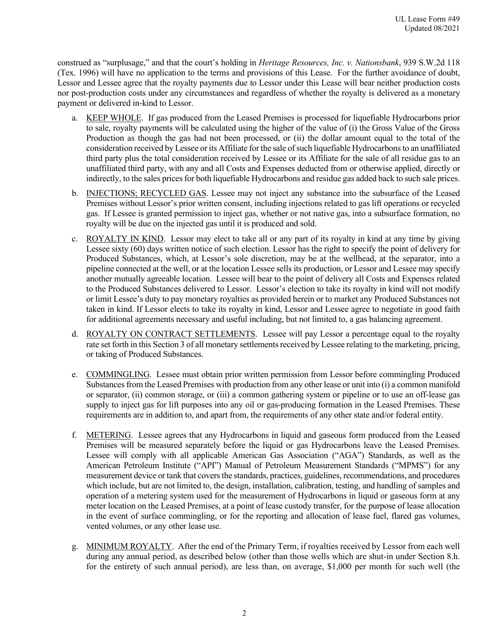construed as "surplusage," and that the court's holding in *Heritage Resources, Inc. v. Nationsbank*, 939 S.W.2d 118 (Tex. 1996) will have no application to the terms and provisions of this Lease. For the further avoidance of doubt, Lessor and Lessee agree that the royalty payments due to Lessor under this Lease will bear neither production costs nor post-production costs under any circumstances and regardless of whether the royalty is delivered as a monetary payment or delivered in-kind to Lessor.

- a. KEEP WHOLE. If gas produced from the Leased Premises is processed for liquefiable Hydrocarbons prior to sale, royalty payments will be calculated using the higher of the value of (i) the Gross Value of the Gross Production as though the gas had not been processed, or (ii) the dollar amount equal to the total of the consideration received by Lessee or its Affiliate for the sale of such liquefiable Hydrocarbons to an unaffiliated third party plus the total consideration received by Lessee or its Affiliate for the sale of all residue gas to an unaffiliated third party, with any and all Costs and Expenses deducted from or otherwise applied, directly or indirectly, to the sales prices for both liquefiable Hydrocarbons and residue gas added back to such sale prices.
- b. INJECTIONS; RECYCLED GAS. Lessee may not inject any substance into the subsurface of the Leased Premises without Lessor's prior written consent, including injections related to gas lift operations or recycled gas. If Lessee is granted permission to inject gas, whether or not native gas, into a subsurface formation, no royalty will be due on the injected gas until it is produced and sold.
- c. ROYALTY IN KIND. Lessor may elect to take all or any part of its royalty in kind at any time by giving Lessee sixty (60) days written notice of such election. Lessor has the right to specify the point of delivery for Produced Substances, which, at Lessor's sole discretion, may be at the wellhead, at the separator, into a pipeline connected at the well, or at the location Lessee sells its production, or Lessor and Lessee may specify another mutually agreeable location. Lessee will bear to the point of delivery all Costs and Expenses related to the Produced Substances delivered to Lessor. Lessor's election to take its royalty in kind will not modify or limit Lessee's duty to pay monetary royalties as provided herein or to market any Produced Substances not taken in kind. If Lessor elects to take its royalty in kind, Lessor and Lessee agree to negotiate in good faith for additional agreements necessary and useful including, but not limited to, a gas balancing agreement.
- d. ROYALTY ON CONTRACT SETTLEMENTS. Lessee will pay Lessor a percentage equal to the royalty rate set forth in this Section 3 of all monetary settlements received by Lessee relating to the marketing, pricing, or taking of Produced Substances.
- e. COMMINGLING. Lessee must obtain prior written permission from Lessor before commingling Produced Substances from the Leased Premises with production from any other lease or unit into (i) a common manifold or separator, (ii) common storage, or (iii) a common gathering system or pipeline or to use an off-lease gas supply to inject gas for lift purposes into any oil or gas-producing formation in the Leased Premises. These requirements are in addition to, and apart from, the requirements of any other state and/or federal entity.
- f. METERING. Lessee agrees that any Hydrocarbons in liquid and gaseous form produced from the Leased Premises will be measured separately before the liquid or gas Hydrocarbons leave the Leased Premises. Lessee will comply with all applicable American Gas Association ("AGA") Standards, as well as the American Petroleum Institute ("API") Manual of Petroleum Measurement Standards ("MPMS") for any measurement device or tank that covers the standards, practices, guidelines, recommendations, and procedures which include, but are not limited to, the design, installation, calibration, testing, and handling of samples and operation of a metering system used for the measurement of Hydrocarbons in liquid or gaseous form at any meter location on the Leased Premises, at a point of lease custody transfer, for the purpose of lease allocation in the event of surface commingling, or for the reporting and allocation of lease fuel, flared gas volumes, vented volumes, or any other lease use.
- g. MINIMUM ROYALTY. After the end of the Primary Term, if royalties received by Lessor from each well during any annual period, as described below (other than those wells which are shut-in under Section 8.h. for the entirety of such annual period), are less than, on average, \$1,000 per month for such well (the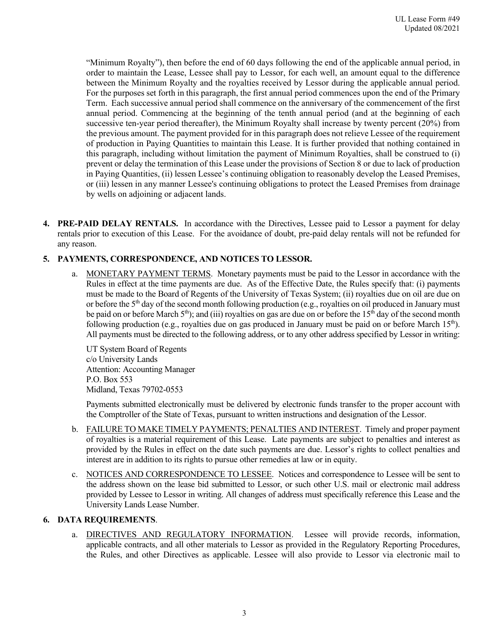"Minimum Royalty"), then before the end of 60 days following the end of the applicable annual period, in order to maintain the Lease, Lessee shall pay to Lessor, for each well, an amount equal to the difference between the Minimum Royalty and the royalties received by Lessor during the applicable annual period. For the purposes set forth in this paragraph, the first annual period commences upon the end of the Primary Term. Each successive annual period shall commence on the anniversary of the commencement of the first annual period. Commencing at the beginning of the tenth annual period (and at the beginning of each successive ten-year period thereafter), the Minimum Royalty shall increase by twenty percent (20%) from the previous amount. The payment provided for in this paragraph does not relieve Lessee of the requirement of production in Paying Quantities to maintain this Lease. It is further provided that nothing contained in this paragraph, including without limitation the payment of Minimum Royalties, shall be construed to (i) prevent or delay the termination of this Lease under the provisions of Section 8 or due to lack of production in Paying Quantities, (ii) lessen Lessee's continuing obligation to reasonably develop the Leased Premises, or (iii) lessen in any manner Lessee's continuing obligations to protect the Leased Premises from drainage by wells on adjoining or adjacent lands.

**4. PRE-PAID DELAY RENTALS.** In accordance with the Directives, Lessee paid to Lessor a payment for delay rentals prior to execution of this Lease. For the avoidance of doubt, pre-paid delay rentals will not be refunded for any reason.

# **5. PAYMENTS, CORRESPONDENCE, AND NOTICES TO LESSOR.**

a. MONETARY PAYMENT TERMS. Monetary payments must be paid to the Lessor in accordance with the Rules in effect at the time payments are due. As of the Effective Date, the Rules specify that: (i) payments must be made to the Board of Regents of the University of Texas System; (ii) royalties due on oil are due on or before the 5th day of the second month following production (e.g., royalties on oil produced in January must be paid on or before March  $5<sup>th</sup>$ ); and (iii) royalties on gas are due on or before the 15<sup>th</sup> day of the second month following production (e.g., royalties due on gas produced in January must be paid on or before March  $15<sup>th</sup>$ ). All payments must be directed to the following address, or to any other address specified by Lessor in writing:

UT System Board of Regents c/o University Lands Attention: Accounting Manager P.O. Box 553 Midland, Texas 79702-0553

Payments submitted electronically must be delivered by electronic funds transfer to the proper account with the Comptroller of the State of Texas, pursuant to written instructions and designation of the Lessor.

- b. FAILURE TO MAKE TIMELY PAYMENTS; PENALTIES AND INTEREST. Timely and proper payment of royalties is a material requirement of this Lease. Late payments are subject to penalties and interest as provided by the Rules in effect on the date such payments are due. Lessor's rights to collect penalties and interest are in addition to its rights to pursue other remedies at law or in equity.
- c. NOTICES AND CORRESPONDENCE TO LESSEE. Notices and correspondence to Lessee will be sent to the address shown on the lease bid submitted to Lessor, or such other U.S. mail or electronic mail address provided by Lessee to Lessor in writing. All changes of address must specifically reference this Lease and the University Lands Lease Number.

## **6. DATA REQUIREMENTS**.

a. DIRECTIVES AND REGULATORY INFORMATION. Lessee will provide records, information, applicable contracts, and all other materials to Lessor as provided in the Regulatory Reporting Procedures, the Rules, and other Directives as applicable. Lessee will also provide to Lessor via electronic mail to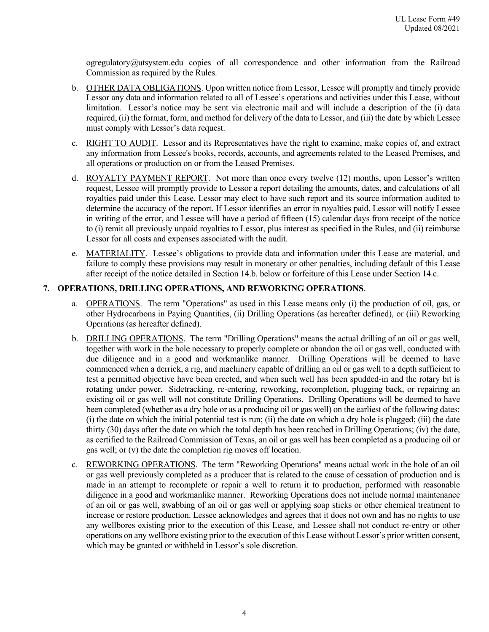ogregulatory@utsystem.edu copies of all correspondence and other information from the Railroad Commission as required by the Rules.

- b. OTHER DATA OBLIGATIONS. Upon written notice from Lessor, Lessee will promptly and timely provide Lessor any data and information related to all of Lessee's operations and activities under this Lease, without limitation. Lessor's notice may be sent via electronic mail and will include a description of the (i) data required, (ii) the format, form, and method for delivery of the data to Lessor, and (iii) the date by which Lessee must comply with Lessor's data request.
- c. RIGHT TO AUDIT. Lessor and its Representatives have the right to examine, make copies of, and extract any information from Lessee's books, records, accounts, and agreements related to the Leased Premises, and all operations or production on or from the Leased Premises.
- d. ROYALTY PAYMENT REPORT. Not more than once every twelve (12) months, upon Lessor's written request, Lessee will promptly provide to Lessor a report detailing the amounts, dates, and calculations of all royalties paid under this Lease. Lessor may elect to have such report and its source information audited to determine the accuracy of the report. If Lessor identifies an error in royalties paid, Lessor will notify Lessee in writing of the error, and Lessee will have a period of fifteen (15) calendar days from receipt of the notice to (i) remit all previously unpaid royalties to Lessor, plus interest as specified in the Rules, and (ii) reimburse Lessor for all costs and expenses associated with the audit.
- e. MATERIALITY. Lessee's obligations to provide data and information under this Lease are material, and failure to comply these provisions may result in monetary or other penalties, including default of this Lease after receipt of the notice detailed in Section 14.b. below or forfeiture of this Lease under Section 14.c.

## **7. OPERATIONS, DRILLING OPERATIONS, AND REWORKING OPERATIONS**.

- a. OPERATIONS. The term "Operations" as used in this Lease means only (i) the production of oil, gas, or other Hydrocarbons in Paying Quantities, (ii) Drilling Operations (as hereafter defined), or (iii) Reworking Operations (as hereafter defined).
- b. DRILLING OPERATIONS. The term "Drilling Operations" means the actual drilling of an oil or gas well, together with work in the hole necessary to properly complete or abandon the oil or gas well, conducted with due diligence and in a good and workmanlike manner. Drilling Operations will be deemed to have commenced when a derrick, a rig, and machinery capable of drilling an oil or gas well to a depth sufficient to test a permitted objective have been erected, and when such well has been spudded-in and the rotary bit is rotating under power. Sidetracking, re-entering, reworking, recompletion, plugging back, or repairing an existing oil or gas well will not constitute Drilling Operations. Drilling Operations will be deemed to have been completed (whether as a dry hole or as a producing oil or gas well) on the earliest of the following dates: (i) the date on which the initial potential test is run; (ii) the date on which a dry hole is plugged; (iii) the date thirty (30) days after the date on which the total depth has been reached in Drilling Operations; (iv) the date, as certified to the Railroad Commission of Texas, an oil or gas well has been completed as a producing oil or gas well; or (v) the date the completion rig moves off location.
- c. REWORKING OPERATIONS. The term "Reworking Operations" means actual work in the hole of an oil or gas well previously completed as a producer that is related to the cause of cessation of production and is made in an attempt to recomplete or repair a well to return it to production, performed with reasonable diligence in a good and workmanlike manner. Reworking Operations does not include normal maintenance of an oil or gas well, swabbing of an oil or gas well or applying soap sticks or other chemical treatment to increase or restore production. Lessee acknowledges and agrees that it does not own and has no rights to use any wellbores existing prior to the execution of this Lease, and Lessee shall not conduct re-entry or other operations on any wellbore existing prior to the execution of this Lease without Lessor's prior written consent, which may be granted or withheld in Lessor's sole discretion.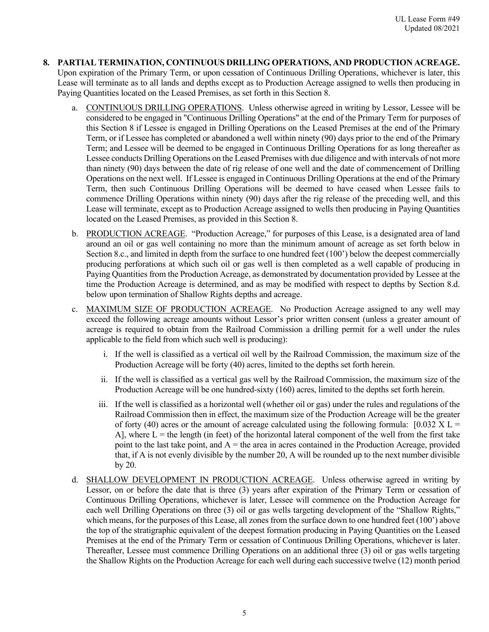- **8. PARTIAL TERMINATION, CONTINUOUS DRILLING OPERATIONS, AND PRODUCTION ACREAGE.**  Upon expiration of the Primary Term, or upon cessation of Continuous Drilling Operations, whichever is later, this Lease will terminate as to all lands and depths except as to Production Acreage assigned to wells then producing in Paying Quantities located on the Leased Premises, as set forth in this Section 8.
	- a. CONTINUOUS DRILLING OPERATIONS.Unless otherwise agreed in writing by Lessor, Lessee will be considered to be engaged in "Continuous Drilling Operations" at the end of the Primary Term for purposes of this Section 8 if Lessee is engaged in Drilling Operations on the Leased Premises at the end of the Primary Term, or if Lessee has completed or abandoned a well within ninety (90) days prior to the end of the Primary Term; and Lessee will be deemed to be engaged in Continuous Drilling Operations for as long thereafter as Lessee conducts Drilling Operations on the Leased Premises with due diligence and with intervals of not more than ninety (90) days between the date of rig release of one well and the date of commencement of Drilling Operations on the next well. If Lessee is engaged in Continuous Drilling Operations at the end of the Primary Term, then such Continuous Drilling Operations will be deemed to have ceased when Lessee fails to commence Drilling Operations within ninety (90) days after the rig release of the preceding well, and this Lease will terminate, except as to Production Acreage assigned to wells then producing in Paying Quantities located on the Leased Premises, as provided in this Section 8.
	- b. PRODUCTION ACREAGE. "Production Acreage," for purposes of this Lease, is a designated area of land around an oil or gas well containing no more than the minimum amount of acreage as set forth below in Section 8.c., and limited in depth from the surface to one hundred feet (100') below the deepest commercially producing perforations at which such oil or gas well is then completed as a well capable of producing in Paying Quantities from the Production Acreage, as demonstrated by documentation provided by Lessee at the time the Production Acreage is determined, and as may be modified with respect to depths by Section 8.d. below upon termination of Shallow Rights depths and acreage.
	- c. MAXIMUM SIZE OF PRODUCTION ACREAGE. No Production Acreage assigned to any well may exceed the following acreage amounts without Lessor's prior written consent (unless a greater amount of acreage is required to obtain from the Railroad Commission a drilling permit for a well under the rules applicable to the field from which such well is producing):
		- i. If the well is classified as a vertical oil well by the Railroad Commission, the maximum size of the Production Acreage will be forty (40) acres, limited to the depths set forth herein.
		- ii. If the well is classified as a vertical gas well by the Railroad Commission, the maximum size of the Production Acreage will be one hundred-sixty (160) acres, limited to the depths set forth herein.
		- iii. If the well is classified as a horizontal well (whether oil or gas) under the rules and regulations of the Railroad Commission then in effect, the maximum size of the Production Acreage will be the greater of forty (40) acres or the amount of acreage calculated using the following formula:  $[0.032 \text{ X}] =$ A], where  $L =$  the length (in feet) of the horizontal lateral component of the well from the first take point to the last take point, and  $A =$  the area in acres contained in the Production Acreage, provided that, if A is not evenly divisible by the number 20, A will be rounded up to the next number divisible by 20.
	- d. SHALLOW DEVELOPMENT IN PRODUCTION ACREAGE. Unless otherwise agreed in writing by Lessor, on or before the date that is three (3) years after expiration of the Primary Term or cessation of Continuous Drilling Operations, whichever is later, Lessee will commence on the Production Acreage for each well Drilling Operations on three (3) oil or gas wells targeting development of the "Shallow Rights," which means, for the purposes of this Lease, all zones from the surface down to one hundred feet (100') above the top of the stratigraphic equivalent of the deepest formation producing in Paying Quantities on the Leased Premises at the end of the Primary Term or cessation of Continuous Drilling Operations, whichever is later. Thereafter, Lessee must commence Drilling Operations on an additional three (3) oil or gas wells targeting the Shallow Rights on the Production Acreage for each well during each successive twelve (12) month period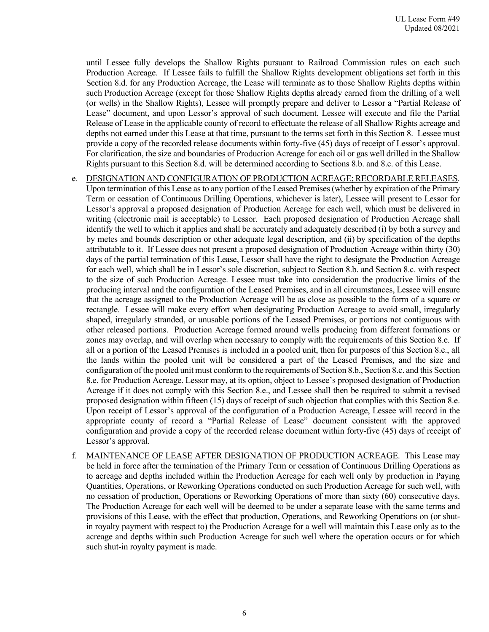until Lessee fully develops the Shallow Rights pursuant to Railroad Commission rules on each such Production Acreage. If Lessee fails to fulfill the Shallow Rights development obligations set forth in this Section 8.d. for any Production Acreage, the Lease will terminate as to those Shallow Rights depths within such Production Acreage (except for those Shallow Rights depths already earned from the drilling of a well (or wells) in the Shallow Rights), Lessee will promptly prepare and deliver to Lessor a "Partial Release of Lease" document, and upon Lessor's approval of such document, Lessee will execute and file the Partial Release of Lease in the applicable county of record to effectuate the release of all Shallow Rights acreage and depths not earned under this Lease at that time, pursuant to the terms set forth in this Section 8. Lessee must provide a copy of the recorded release documents within forty-five (45) days of receipt of Lessor's approval. For clarification, the size and boundaries of Production Acreage for each oil or gas well drilled in the Shallow Rights pursuant to this Section 8.d. will be determined according to Sections 8.b. and 8.c. of this Lease.

- e. DESIGNATION AND CONFIGURATION OF PRODUCTION ACREAGE; RECORDABLE RELEASES. Upon termination of this Lease as to any portion of the Leased Premises (whether by expiration of the Primary Term or cessation of Continuous Drilling Operations, whichever is later), Lessee will present to Lessor for Lessor's approval a proposed designation of Production Acreage for each well, which must be delivered in writing (electronic mail is acceptable) to Lessor. Each proposed designation of Production Acreage shall identify the well to which it applies and shall be accurately and adequately described (i) by both a survey and by metes and bounds description or other adequate legal description, and (ii) by specification of the depths attributable to it. If Lessee does not present a proposed designation of Production Acreage within thirty (30) days of the partial termination of this Lease, Lessor shall have the right to designate the Production Acreage for each well, which shall be in Lessor's sole discretion, subject to Section 8.b. and Section 8.c. with respect to the size of such Production Acreage. Lessee must take into consideration the productive limits of the producing interval and the configuration of the Leased Premises, and in all circumstances, Lessee will ensure that the acreage assigned to the Production Acreage will be as close as possible to the form of a square or rectangle. Lessee will make every effort when designating Production Acreage to avoid small, irregularly shaped, irregularly stranded, or unusable portions of the Leased Premises, or portions not contiguous with other released portions. Production Acreage formed around wells producing from different formations or zones may overlap, and will overlap when necessary to comply with the requirements of this Section 8.e. If all or a portion of the Leased Premises is included in a pooled unit, then for purposes of this Section 8.e., all the lands within the pooled unit will be considered a part of the Leased Premises, and the size and configuration of the pooled unit must conform to the requirements of Section 8.b., Section 8.c. and this Section 8.e. for Production Acreage. Lessor may, at its option, object to Lessee's proposed designation of Production Acreage if it does not comply with this Section 8.e., and Lessee shall then be required to submit a revised proposed designation within fifteen (15) days of receipt of such objection that complies with this Section 8.e. Upon receipt of Lessor's approval of the configuration of a Production Acreage, Lessee will record in the appropriate county of record a "Partial Release of Lease" document consistent with the approved configuration and provide a copy of the recorded release document within forty-five (45) days of receipt of Lessor's approval.
- f. MAINTENANCE OF LEASE AFTER DESIGNATION OF PRODUCTION ACREAGE. This Lease may be held in force after the termination of the Primary Term or cessation of Continuous Drilling Operations as to acreage and depths included within the Production Acreage for each well only by production in Paying Quantities, Operations, or Reworking Operations conducted on such Production Acreage for such well, with no cessation of production, Operations or Reworking Operations of more than sixty (60) consecutive days. The Production Acreage for each well will be deemed to be under a separate lease with the same terms and provisions of this Lease, with the effect that production, Operations, and Reworking Operations on (or shutin royalty payment with respect to) the Production Acreage for a well will maintain this Lease only as to the acreage and depths within such Production Acreage for such well where the operation occurs or for which such shut-in royalty payment is made.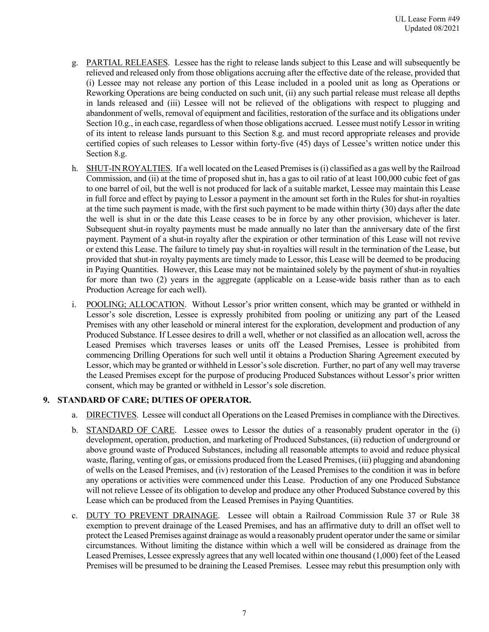- g. PARTIAL RELEASES. Lessee has the right to release lands subject to this Lease and will subsequently be relieved and released only from those obligations accruing after the effective date of the release, provided that (i) Lessee may not release any portion of this Lease included in a pooled unit as long as Operations or Reworking Operations are being conducted on such unit, (ii) any such partial release must release all depths in lands released and (iii) Lessee will not be relieved of the obligations with respect to plugging and abandonment of wells, removal of equipment and facilities, restoration of the surface and its obligations under Section 10.g., in each case, regardless of when those obligations accrued. Lessee must notify Lessor in writing of its intent to release lands pursuant to this Section 8.g. and must record appropriate releases and provide certified copies of such releases to Lessor within forty-five (45) days of Lessee's written notice under this Section 8.g.
- h. SHUT-IN ROYALTIES. If a well located on the Leased Premises is (i) classified as a gas well by the Railroad Commission, and (ii) at the time of proposed shut in, has a gas to oil ratio of at least 100,000 cubic feet of gas to one barrel of oil, but the well is not produced for lack of a suitable market, Lessee may maintain this Lease in full force and effect by paying to Lessor a payment in the amount set forth in the Rules for shut-in royalties at the time such payment is made, with the first such payment to be made within thirty (30) days after the date the well is shut in or the date this Lease ceases to be in force by any other provision, whichever is later. Subsequent shut-in royalty payments must be made annually no later than the anniversary date of the first payment. Payment of a shut-in royalty after the expiration or other termination of this Lease will not revive or extend this Lease. The failure to timely pay shut-in royalties will result in the termination of the Lease, but provided that shut-in royalty payments are timely made to Lessor, this Lease will be deemed to be producing in Paying Quantities. However, this Lease may not be maintained solely by the payment of shut-in royalties for more than two (2) years in the aggregate (applicable on a Lease-wide basis rather than as to each Production Acreage for each well).
- i. POOLING; ALLOCATION. Without Lessor's prior written consent, which may be granted or withheld in Lessor's sole discretion, Lessee is expressly prohibited from pooling or unitizing any part of the Leased Premises with any other leasehold or mineral interest for the exploration, development and production of any Produced Substance. If Lessee desires to drill a well, whether or not classified as an allocation well, across the Leased Premises which traverses leases or units off the Leased Premises, Lessee is prohibited from commencing Drilling Operations for such well until it obtains a Production Sharing Agreement executed by Lessor, which may be granted or withheld in Lessor's sole discretion. Further, no part of any well may traverse the Leased Premises except for the purpose of producing Produced Substances without Lessor's prior written consent, which may be granted or withheld in Lessor's sole discretion.

## **9. STANDARD OF CARE; DUTIES OF OPERATOR.**

- a. DIRECTIVES. Lessee will conduct all Operations on the Leased Premises in compliance with the Directives.
- b. STANDARD OF CARE. Lessee owes to Lessor the duties of a reasonably prudent operator in the (i) development, operation, production, and marketing of Produced Substances, (ii) reduction of underground or above ground waste of Produced Substances, including all reasonable attempts to avoid and reduce physical waste, flaring, venting of gas, or emissions produced from the Leased Premises, (iii) plugging and abandoning of wells on the Leased Premises, and (iv) restoration of the Leased Premises to the condition it was in before any operations or activities were commenced under this Lease. Production of any one Produced Substance will not relieve Lessee of its obligation to develop and produce any other Produced Substance covered by this Lease which can be produced from the Leased Premises in Paying Quantities.
- c. DUTY TO PREVENT DRAINAGE. Lessee will obtain a Railroad Commission Rule 37 or Rule 38 exemption to prevent drainage of the Leased Premises, and has an affirmative duty to drill an offset well to protect the Leased Premises against drainage as would a reasonably prudent operator under the same or similar circumstances. Without limiting the distance within which a well will be considered as drainage from the Leased Premises, Lessee expressly agrees that any well located within one thousand (1,000) feet of the Leased Premises will be presumed to be draining the Leased Premises. Lessee may rebut this presumption only with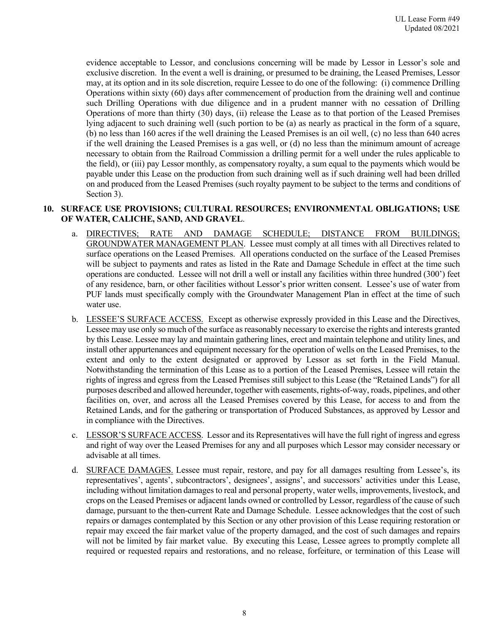evidence acceptable to Lessor, and conclusions concerning will be made by Lessor in Lessor's sole and exclusive discretion. In the event a well is draining, or presumed to be draining, the Leased Premises, Lessor may, at its option and in its sole discretion, require Lessee to do one of the following: (i) commence Drilling Operations within sixty (60) days after commencement of production from the draining well and continue such Drilling Operations with due diligence and in a prudent manner with no cessation of Drilling Operations of more than thirty (30) days, (ii) release the Lease as to that portion of the Leased Premises lying adjacent to such draining well (such portion to be (a) as nearly as practical in the form of a square, (b) no less than 160 acres if the well draining the Leased Premises is an oil well, (c) no less than 640 acres if the well draining the Leased Premises is a gas well, or (d) no less than the minimum amount of acreage necessary to obtain from the Railroad Commission a drilling permit for a well under the rules applicable to the field), or (iii) pay Lessor monthly, as compensatory royalty, a sum equal to the payments which would be payable under this Lease on the production from such draining well as if such draining well had been drilled on and produced from the Leased Premises (such royalty payment to be subject to the terms and conditions of Section 3).

#### **10. SURFACE USE PROVISIONS; CULTURAL RESOURCES; ENVIRONMENTAL OBLIGATIONS; USE OF WATER, CALICHE, SAND, AND GRAVEL**.

- a. DIRECTIVES; RATE AND DAMAGE SCHEDULE; DISTANCE FROM BUILDINGS; GROUNDWATER MANAGEMENT PLAN. Lessee must comply at all times with all Directives related to surface operations on the Leased Premises. All operations conducted on the surface of the Leased Premises will be subject to payments and rates as listed in the Rate and Damage Schedule in effect at the time such operations are conducted. Lessee will not drill a well or install any facilities within three hundred (300') feet of any residence, barn, or other facilities without Lessor's prior written consent. Lessee's use of water from PUF lands must specifically comply with the Groundwater Management Plan in effect at the time of such water use.
- b. LESSEE'S SURFACE ACCESS. Except as otherwise expressly provided in this Lease and the Directives, Lessee may use only so much of the surface as reasonably necessary to exercise the rights and interests granted by this Lease. Lessee may lay and maintain gathering lines, erect and maintain telephone and utility lines, and install other appurtenances and equipment necessary for the operation of wells on the Leased Premises, to the extent and only to the extent designated or approved by Lessor as set forth in the Field Manual. Notwithstanding the termination of this Lease as to a portion of the Leased Premises, Lessee will retain the rights of ingress and egress from the Leased Premises still subject to this Lease (the "Retained Lands") for all purposes described and allowed hereunder, together with easements, rights-of-way, roads, pipelines, and other facilities on, over, and across all the Leased Premises covered by this Lease, for access to and from the Retained Lands, and for the gathering or transportation of Produced Substances, as approved by Lessor and in compliance with the Directives.
- c. LESSOR'S SURFACE ACCESS. Lessor and its Representatives will have the full right of ingress and egress and right of way over the Leased Premises for any and all purposes which Lessor may consider necessary or advisable at all times.
- d. SURFACE DAMAGES. Lessee must repair, restore, and pay for all damages resulting from Lessee's, its representatives', agents', subcontractors', designees', assigns', and successors' activities under this Lease, including without limitation damages to real and personal property, water wells, improvements, livestock, and crops on the Leased Premises or adjacent lands owned or controlled by Lessor, regardless of the cause of such damage, pursuant to the then-current Rate and Damage Schedule. Lessee acknowledges that the cost of such repairs or damages contemplated by this Section or any other provision of this Lease requiring restoration or repair may exceed the fair market value of the property damaged, and the cost of such damages and repairs will not be limited by fair market value. By executing this Lease, Lessee agrees to promptly complete all required or requested repairs and restorations, and no release, forfeiture, or termination of this Lease will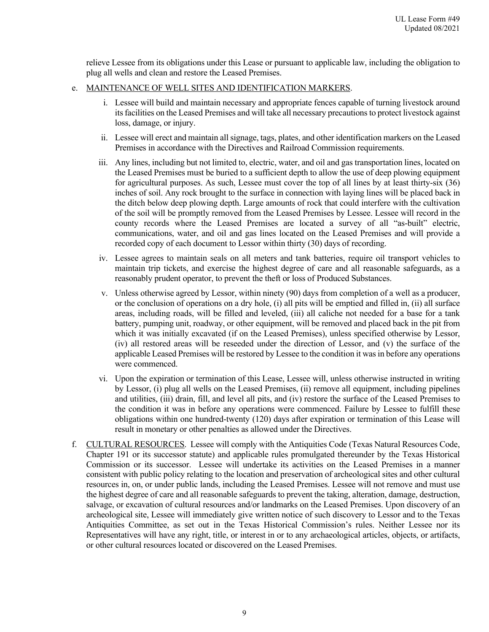relieve Lessee from its obligations under this Lease or pursuant to applicable law, including the obligation to plug all wells and clean and restore the Leased Premises.

### e. MAINTENANCE OF WELL SITES AND IDENTIFICATION MARKERS.

- i. Lessee will build and maintain necessary and appropriate fences capable of turning livestock around its facilities on the Leased Premises and will take all necessary precautions to protect livestock against loss, damage, or injury.
- ii. Lessee will erect and maintain all signage, tags, plates, and other identification markers on the Leased Premises in accordance with the Directives and Railroad Commission requirements.
- iii. Any lines, including but not limited to, electric, water, and oil and gas transportation lines, located on the Leased Premises must be buried to a sufficient depth to allow the use of deep plowing equipment for agricultural purposes. As such, Lessee must cover the top of all lines by at least thirty-six (36) inches of soil. Any rock brought to the surface in connection with laying lines will be placed back in the ditch below deep plowing depth. Large amounts of rock that could interfere with the cultivation of the soil will be promptly removed from the Leased Premises by Lessee. Lessee will record in the county records where the Leased Premises are located a survey of all "as-built" electric, communications, water, and oil and gas lines located on the Leased Premises and will provide a recorded copy of each document to Lessor within thirty (30) days of recording.
- iv. Lessee agrees to maintain seals on all meters and tank batteries, require oil transport vehicles to maintain trip tickets, and exercise the highest degree of care and all reasonable safeguards, as a reasonably prudent operator, to prevent the theft or loss of Produced Substances.
- v. Unless otherwise agreed by Lessor, within ninety (90) days from completion of a well as a producer, or the conclusion of operations on a dry hole, (i) all pits will be emptied and filled in, (ii) all surface areas, including roads, will be filled and leveled, (iii) all caliche not needed for a base for a tank battery, pumping unit, roadway, or other equipment, will be removed and placed back in the pit from which it was initially excavated (if on the Leased Premises), unless specified otherwise by Lessor, (iv) all restored areas will be reseeded under the direction of Lessor, and (v) the surface of the applicable Leased Premises will be restored by Lessee to the condition it was in before any operations were commenced.
- vi. Upon the expiration or termination of this Lease, Lessee will, unless otherwise instructed in writing by Lessor, (i) plug all wells on the Leased Premises, (ii) remove all equipment, including pipelines and utilities, (iii) drain, fill, and level all pits, and (iv) restore the surface of the Leased Premises to the condition it was in before any operations were commenced. Failure by Lessee to fulfill these obligations within one hundred-twenty (120) days after expiration or termination of this Lease will result in monetary or other penalties as allowed under the Directives.
- f. CULTURAL RESOURCES. Lessee will comply with the Antiquities Code (Texas Natural Resources Code, Chapter 191 or its successor statute) and applicable rules promulgated thereunder by the Texas Historical Commission or its successor. Lessee will undertake its activities on the Leased Premises in a manner consistent with public policy relating to the location and preservation of archeological sites and other cultural resources in, on, or under public lands, including the Leased Premises. Lessee will not remove and must use the highest degree of care and all reasonable safeguards to prevent the taking, alteration, damage, destruction, salvage, or excavation of cultural resources and/or landmarks on the Leased Premises. Upon discovery of an archeological site, Lessee will immediately give written notice of such discovery to Lessor and to the Texas Antiquities Committee, as set out in the Texas Historical Commission's rules. Neither Lessee nor its Representatives will have any right, title, or interest in or to any archaeological articles, objects, or artifacts, or other cultural resources located or discovered on the Leased Premises.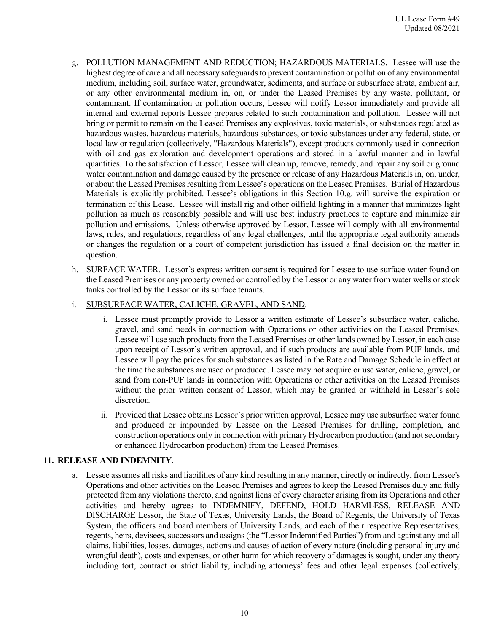- g. POLLUTION MANAGEMENT AND REDUCTION; HAZARDOUS MATERIALS. Lessee will use the highest degree of care and all necessary safeguards to prevent contamination or pollution of any environmental medium, including soil, surface water, groundwater, sediments, and surface or subsurface strata, ambient air, or any other environmental medium in, on, or under the Leased Premises by any waste, pollutant, or contaminant. If contamination or pollution occurs, Lessee will notify Lessor immediately and provide all internal and external reports Lessee prepares related to such contamination and pollution. Lessee will not bring or permit to remain on the Leased Premises any explosives, toxic materials, or substances regulated as hazardous wastes, hazardous materials, hazardous substances, or toxic substances under any federal, state, or local law or regulation (collectively, "Hazardous Materials"), except products commonly used in connection with oil and gas exploration and development operations and stored in a lawful manner and in lawful quantities. To the satisfaction of Lessor, Lessee will clean up, remove, remedy, and repair any soil or ground water contamination and damage caused by the presence or release of any Hazardous Materials in, on, under, or about the Leased Premises resulting from Lessee's operations on the Leased Premises. Burial of Hazardous Materials is explicitly prohibited. Lessee's obligations in this Section 10.g. will survive the expiration or termination of this Lease. Lessee will install rig and other oilfield lighting in a manner that minimizes light pollution as much as reasonably possible and will use best industry practices to capture and minimize air pollution and emissions. Unless otherwise approved by Lessor, Lessee will comply with all environmental laws, rules, and regulations, regardless of any legal challenges, until the appropriate legal authority amends or changes the regulation or a court of competent jurisdiction has issued a final decision on the matter in question.
- h. SURFACE WATER. Lessor's express written consent is required for Lessee to use surface water found on the Leased Premises or any property owned or controlled by the Lessor or any water from water wells or stock tanks controlled by the Lessor or its surface tenants.

### i. SUBSURFACE WATER, CALICHE, GRAVEL, AND SAND.

- i. Lessee must promptly provide to Lessor a written estimate of Lessee's subsurface water, caliche, gravel, and sand needs in connection with Operations or other activities on the Leased Premises. Lessee will use such products from the Leased Premises or other lands owned by Lessor, in each case upon receipt of Lessor's written approval, and if such products are available from PUF lands, and Lessee will pay the prices for such substances as listed in the Rate and Damage Schedule in effect at the time the substances are used or produced. Lessee may not acquire or use water, caliche, gravel, or sand from non-PUF lands in connection with Operations or other activities on the Leased Premises without the prior written consent of Lessor, which may be granted or withheld in Lessor's sole discretion.
- ii. Provided that Lessee obtains Lessor's prior written approval, Lessee may use subsurface water found and produced or impounded by Lessee on the Leased Premises for drilling, completion, and construction operations only in connection with primary Hydrocarbon production (and not secondary or enhanced Hydrocarbon production) from the Leased Premises.

## **11. RELEASE AND INDEMNITY**.

a. Lessee assumes all risks and liabilities of any kind resulting in any manner, directly or indirectly, from Lessee's Operations and other activities on the Leased Premises and agrees to keep the Leased Premises duly and fully protected from any violations thereto, and against liens of every character arising from its Operations and other activities and hereby agrees to INDEMNIFY, DEFEND, HOLD HARMLESS, RELEASE AND DISCHARGE Lessor, the State of Texas, University Lands, the Board of Regents, the University of Texas System, the officers and board members of University Lands, and each of their respective Representatives, regents, heirs, devisees, successors and assigns (the "Lessor Indemnified Parties") from and against any and all claims, liabilities, losses, damages, actions and causes of action of every nature (including personal injury and wrongful death), costs and expenses, or other harm for which recovery of damages is sought, under any theory including tort, contract or strict liability, including attorneys' fees and other legal expenses (collectively,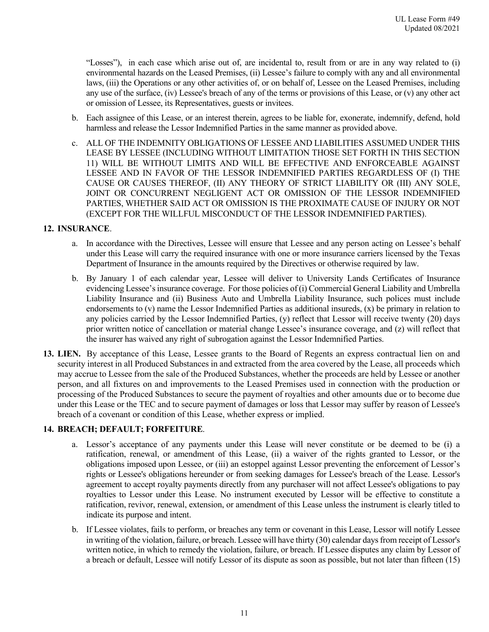"Losses"), in each case which arise out of, are incidental to, result from or are in any way related to (i) environmental hazards on the Leased Premises, (ii) Lessee's failure to comply with any and all environmental laws, (iii) the Operations or any other activities of, or on behalf of, Lessee on the Leased Premises, including any use of the surface, (iv) Lessee's breach of any of the terms or provisions of this Lease, or (v) any other act or omission of Lessee, its Representatives, guests or invitees.

- b. Each assignee of this Lease, or an interest therein, agrees to be liable for, exonerate, indemnify, defend, hold harmless and release the Lessor Indemnified Parties in the same manner as provided above.
- c. ALL OF THE INDEMNITY OBLIGATIONS OF LESSEE AND LIABILITIES ASSUMED UNDER THIS LEASE BY LESSEE (INCLUDING WITHOUT LIMITATION THOSE SET FORTH IN THIS SECTION 11) WILL BE WITHOUT LIMITS AND WILL BE EFFECTIVE AND ENFORCEABLE AGAINST LESSEE AND IN FAVOR OF THE LESSOR INDEMNIFIED PARTIES REGARDLESS OF (I) THE CAUSE OR CAUSES THEREOF, (II) ANY THEORY OF STRICT LIABILITY OR (III) ANY SOLE, JOINT OR CONCURRENT NEGLIGENT ACT OR OMISSION OF THE LESSOR INDEMNIFIED PARTIES, WHETHER SAID ACT OR OMISSION IS THE PROXIMATE CAUSE OF INJURY OR NOT (EXCEPT FOR THE WILLFUL MISCONDUCT OF THE LESSOR INDEMNIFIED PARTIES).

### **12. INSURANCE**.

- a. In accordance with the Directives, Lessee will ensure that Lessee and any person acting on Lessee's behalf under this Lease will carry the required insurance with one or more insurance carriers licensed by the Texas Department of Insurance in the amounts required by the Directives or otherwise required by law.
- b. By January 1 of each calendar year, Lessee will deliver to University Lands Certificates of Insurance evidencing Lessee's insurance coverage. For those policies of (i) Commercial General Liability and Umbrella Liability Insurance and (ii) Business Auto and Umbrella Liability Insurance, such polices must include endorsements to (v) name the Lessor Indemnified Parties as additional insureds, (x) be primary in relation to any policies carried by the Lessor Indemnified Parties, (y) reflect that Lessor will receive twenty (20) days prior written notice of cancellation or material change Lessee's insurance coverage, and (z) will reflect that the insurer has waived any right of subrogation against the Lessor Indemnified Parties.
- **13. LIEN.** By acceptance of this Lease, Lessee grants to the Board of Regents an express contractual lien on and security interest in all Produced Substances in and extracted from the area covered by the Lease, all proceeds which may accrue to Lessee from the sale of the Produced Substances, whether the proceeds are held by Lessee or another person, and all fixtures on and improvements to the Leased Premises used in connection with the production or processing of the Produced Substances to secure the payment of royalties and other amounts due or to become due under this Lease or the TEC and to secure payment of damages or loss that Lessor may suffer by reason of Lessee's breach of a covenant or condition of this Lease, whether express or implied.

### **14. BREACH; DEFAULT; FORFEITURE**.

- a. Lessor's acceptance of any payments under this Lease will never constitute or be deemed to be (i) a ratification, renewal, or amendment of this Lease, (ii) a waiver of the rights granted to Lessor, or the obligations imposed upon Lessee, or (iii) an estoppel against Lessor preventing the enforcement of Lessor's rights or Lessee's obligations hereunder or from seeking damages for Lessee's breach of the Lease. Lessor's agreement to accept royalty payments directly from any purchaser will not affect Lessee's obligations to pay royalties to Lessor under this Lease. No instrument executed by Lessor will be effective to constitute a ratification, revivor, renewal, extension, or amendment of this Lease unless the instrument is clearly titled to indicate its purpose and intent.
- b. If Lessee violates, fails to perform, or breaches any term or covenant in this Lease, Lessor will notify Lessee in writing of the violation, failure, or breach. Lessee will have thirty (30) calendar days from receipt of Lessor's written notice, in which to remedy the violation, failure, or breach. If Lessee disputes any claim by Lessor of a breach or default, Lessee will notify Lessor of its dispute as soon as possible, but not later than fifteen (15)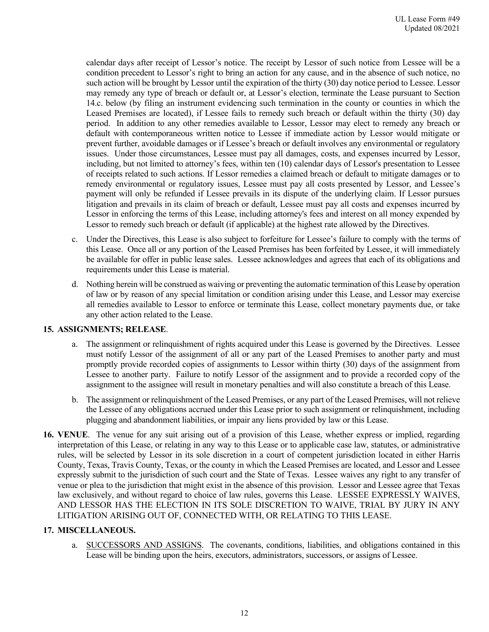calendar days after receipt of Lessor's notice. The receipt by Lessor of such notice from Lessee will be a condition precedent to Lessor's right to bring an action for any cause, and in the absence of such notice, no such action will be brought by Lessor until the expiration of the thirty (30) day notice period to Lessee. Lessor may remedy any type of breach or default or, at Lessor's election, terminate the Lease pursuant to Section 14.c. below (by filing an instrument evidencing such termination in the county or counties in which the Leased Premises are located), if Lessee fails to remedy such breach or default within the thirty (30) day period. In addition to any other remedies available to Lessor, Lessor may elect to remedy any breach or default with contemporaneous written notice to Lessee if immediate action by Lessor would mitigate or prevent further, avoidable damages or if Lessee's breach or default involves any environmental or regulatory issues. Under those circumstances, Lessee must pay all damages, costs, and expenses incurred by Lessor, including, but not limited to attorney's fees, within ten (10) calendar days of Lessor's presentation to Lessee of receipts related to such actions. If Lessor remedies a claimed breach or default to mitigate damages or to remedy environmental or regulatory issues, Lessee must pay all costs presented by Lessor, and Lessee's payment will only be refunded if Lessee prevails in its dispute of the underlying claim. If Lessor pursues litigation and prevails in its claim of breach or default, Lessee must pay all costs and expenses incurred by Lessor in enforcing the terms of this Lease, including attorney's fees and interest on all money expended by Lessor to remedy such breach or default (if applicable) at the highest rate allowed by the Directives.

- c. Under the Directives, this Lease is also subject to forfeiture for Lessee's failure to comply with the terms of this Lease. Once all or any portion of the Leased Premises has been forfeited by Lessee, it will immediately be available for offer in public lease sales. Lessee acknowledges and agrees that each of its obligations and requirements under this Lease is material.
- d. Nothing herein will be construed as waiving or preventing the automatic termination of this Lease by operation of law or by reason of any special limitation or condition arising under this Lease, and Lessor may exercise all remedies available to Lessor to enforce or terminate this Lease, collect monetary payments due, or take any other action related to the Lease.

### **15. ASSIGNMENTS; RELEASE**.

- a. The assignment or relinquishment of rights acquired under this Lease is governed by the Directives. Lessee must notify Lessor of the assignment of all or any part of the Leased Premises to another party and must promptly provide recorded copies of assignments to Lessor within thirty (30) days of the assignment from Lessee to another party. Failure to notify Lessor of the assignment and to provide a recorded copy of the assignment to the assignee will result in monetary penalties and will also constitute a breach of this Lease.
- b. The assignment or relinquishment of the Leased Premises, or any part of the Leased Premises, will not relieve the Lessee of any obligations accrued under this Lease prior to such assignment or relinquishment, including plugging and abandonment liabilities, or impair any liens provided by law or this Lease.
- **16. VENUE**. The venue for any suit arising out of a provision of this Lease, whether express or implied, regarding interpretation of this Lease, or relating in any way to this Lease or to applicable case law, statutes, or administrative rules, will be selected by Lessor in its sole discretion in a court of competent jurisdiction located in either Harris County, Texas, Travis County, Texas, or the county in which the Leased Premises are located, and Lessor and Lessee expressly submit to the jurisdiction of such court and the State of Texas. Lessee waives any right to any transfer of venue or plea to the jurisdiction that might exist in the absence of this provision. Lessor and Lessee agree that Texas law exclusively, and without regard to choice of law rules, governs this Lease. LESSEE EXPRESSLY WAIVES, AND LESSOR HAS THE ELECTION IN ITS SOLE DISCRETION TO WAIVE, TRIAL BY JURY IN ANY LITIGATION ARISING OUT OF, CONNECTED WITH, OR RELATING TO THIS LEASE.

### **17. MISCELLANEOUS.**

a. SUCCESSORS AND ASSIGNS. The covenants, conditions, liabilities, and obligations contained in this Lease will be binding upon the heirs, executors, administrators, successors, or assigns of Lessee.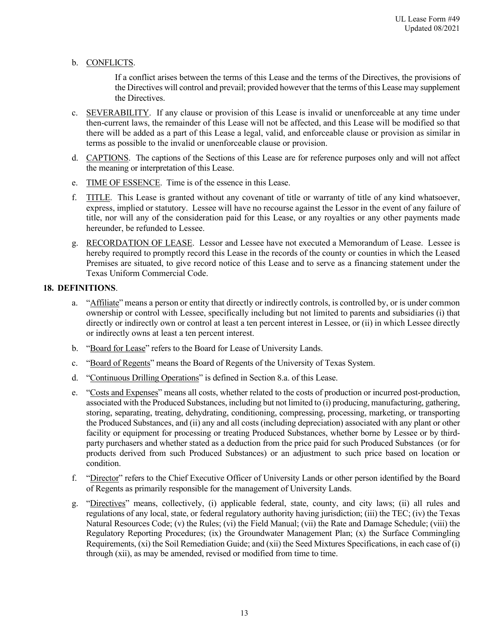### b. CONFLICTS.

If a conflict arises between the terms of this Lease and the terms of the Directives, the provisions of the Directives will control and prevail; provided however that the terms of this Lease may supplement the Directives.

- c. SEVERABILITY. If any clause or provision of this Lease is invalid or unenforceable at any time under then-current laws, the remainder of this Lease will not be affected, and this Lease will be modified so that there will be added as a part of this Lease a legal, valid, and enforceable clause or provision as similar in terms as possible to the invalid or unenforceable clause or provision.
- d. CAPTIONS. The captions of the Sections of this Lease are for reference purposes only and will not affect the meaning or interpretation of this Lease.
- e. TIME OF ESSENCE. Time is of the essence in this Lease.
- f. TITLE. This Lease is granted without any covenant of title or warranty of title of any kind whatsoever, express, implied or statutory. Lessee will have no recourse against the Lessor in the event of any failure of title, nor will any of the consideration paid for this Lease, or any royalties or any other payments made hereunder, be refunded to Lessee.
- g. RECORDATION OF LEASE. Lessor and Lessee have not executed a Memorandum of Lease. Lessee is hereby required to promptly record this Lease in the records of the county or counties in which the Leased Premises are situated, to give record notice of this Lease and to serve as a financing statement under the Texas Uniform Commercial Code.

### **18. DEFINITIONS**.

- a. "Affiliate" means a person or entity that directly or indirectly controls, is controlled by, or is under common ownership or control with Lessee, specifically including but not limited to parents and subsidiaries (i) that directly or indirectly own or control at least a ten percent interest in Lessee, or (ii) in which Lessee directly or indirectly owns at least a ten percent interest.
- b. "Board for Lease" refers to the Board for Lease of University Lands.
- c. "Board of Regents" means the Board of Regents of the University of Texas System.
- d. "Continuous Drilling Operations" is defined in Section 8.a. of this Lease.
- e. "Costs and Expenses" means all costs, whether related to the costs of production or incurred post-production, associated with the Produced Substances, including but not limited to (i) producing, manufacturing, gathering, storing, separating, treating, dehydrating, conditioning, compressing, processing, marketing, or transporting the Produced Substances, and (ii) any and all costs (including depreciation) associated with any plant or other facility or equipment for processing or treating Produced Substances, whether borne by Lessee or by thirdparty purchasers and whether stated as a deduction from the price paid for such Produced Substances (or for products derived from such Produced Substances) or an adjustment to such price based on location or condition.
- f. "Director" refers to the Chief Executive Officer of University Lands or other person identified by the Board of Regents as primarily responsible for the management of University Lands.
- g. "Directives" means, collectively, (i) applicable federal, state, county, and city laws; (ii) all rules and regulations of any local, state, or federal regulatory authority having jurisdiction; (iii) the TEC; (iv) the Texas Natural Resources Code; (v) the Rules; (vi) the Field Manual; (vii) the Rate and Damage Schedule; (viii) the Regulatory Reporting Procedures; (ix) the Groundwater Management Plan; (x) the Surface Commingling Requirements, (xi) the Soil Remediation Guide; and (xii) the Seed Mixtures Specifications, in each case of (i) through (xii), as may be amended, revised or modified from time to time.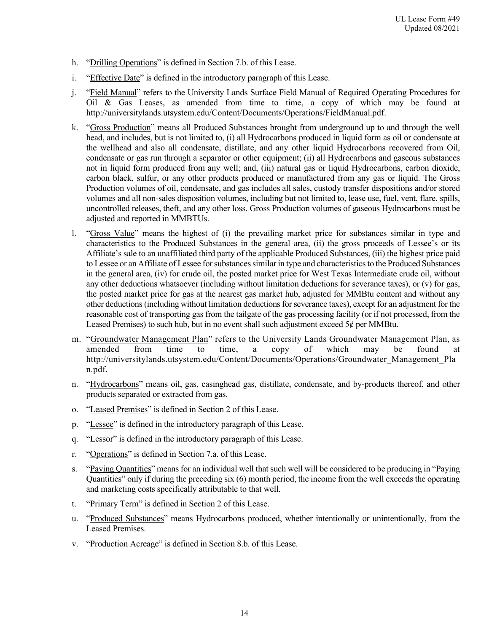- h. "Drilling Operations" is defined in Section 7.b. of this Lease.
- i. "Effective Date" is defined in the introductory paragraph of this Lease.
- j. "Field Manual" refers to the University Lands Surface Field Manual of Required Operating Procedures for Oil & Gas Leases, as amended from time to time, a copy of which may be found at http://universitylands.utsystem.edu/Content/Documents/Operations/FieldManual.pdf.
- k. "Gross Production" means all Produced Substances brought from underground up to and through the well head, and includes, but is not limited to, (i) all Hydrocarbons produced in liquid form as oil or condensate at the wellhead and also all condensate, distillate, and any other liquid Hydrocarbons recovered from Oil, condensate or gas run through a separator or other equipment; (ii) all Hydrocarbons and gaseous substances not in liquid form produced from any well; and, (iii) natural gas or liquid Hydrocarbons, carbon dioxide, carbon black, sulfur, or any other products produced or manufactured from any gas or liquid. The Gross Production volumes of oil, condensate, and gas includes all sales, custody transfer dispositions and/or stored volumes and all non-sales disposition volumes, including but not limited to, lease use, fuel, vent, flare, spills, uncontrolled releases, theft, and any other loss. Gross Production volumes of gaseous Hydrocarbons must be adjusted and reported in MMBTUs.
- l. "Gross Value" means the highest of (i) the prevailing market price for substances similar in type and characteristics to the Produced Substances in the general area, (ii) the gross proceeds of Lessee's or its Affiliate's sale to an unaffiliated third party of the applicable Produced Substances, (iii) the highest price paid to Lessee or an Affiliate of Lessee for substances similar in type and characteristics to the Produced Substances in the general area, (iv) for crude oil, the posted market price for West Texas Intermediate crude oil, without any other deductions whatsoever (including without limitation deductions for severance taxes), or (v) for gas, the posted market price for gas at the nearest gas market hub, adjusted for MMBtu content and without any other deductions(including without limitation deductions for severance taxes), except for an adjustment for the reasonable cost of transporting gas from the tailgate of the gas processing facility (or if not processed, from the Leased Premises) to such hub, but in no event shall such adjustment exceed  $5¢$  per MMBtu.
- m. "Groundwater Management Plan" refers to the University Lands Groundwater Management Plan, as amended from time to time, a copy of which may be found at http://universitylands.utsystem.edu/Content/Documents/Operations/Groundwater\_Management\_Pla n.pdf.
- n. "Hydrocarbons" means oil, gas, casinghead gas, distillate, condensate, and by-products thereof, and other products separated or extracted from gas.
- o. "Leased Premises" is defined in Section 2 of this Lease.
- p. "Lessee" is defined in the introductory paragraph of this Lease.
- q. "Lessor" is defined in the introductory paragraph of this Lease.
- r. "Operations" is defined in Section 7.a. of this Lease.
- s. "Paying Quantities" means for an individual well that such well will be considered to be producing in "Paying" Quantities" only if during the preceding six (6) month period, the income from the well exceeds the operating and marketing costs specifically attributable to that well.
- t. "Primary Term" is defined in Section 2 of this Lease.
- u. "Produced Substances" means Hydrocarbons produced, whether intentionally or unintentionally, from the Leased Premises.
- v. "Production Acreage" is defined in Section 8.b. of this Lease.